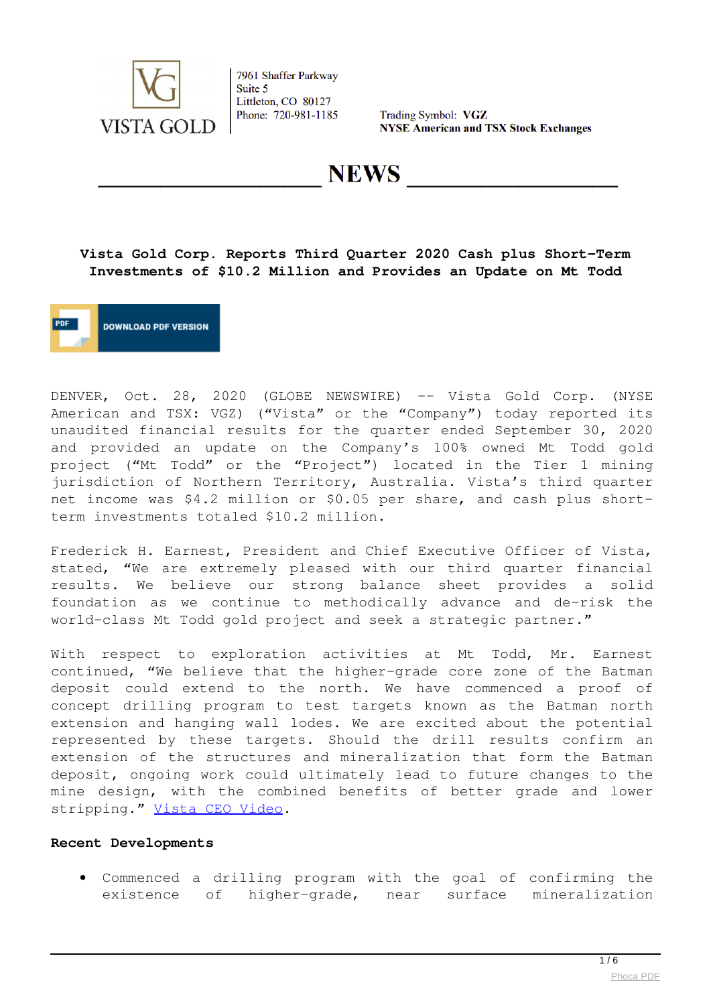

Trading Symbol: VGZ **NYSE American and TSX Stock Exchanges** 

**NEWS** 

**Vista Gold Corp. Reports Third Quarter 2020 Cash plus Short-Term Investments of \$10.2 Million and Provides an Update on Mt Todd**

# **DOWNLOAD PDF VERSION**

DENVER, Oct. 28, 2020 (GLOBE NEWSWIRE) -- Vista Gold Corp. (NYSE American and TSX: VGZ) ("Vista" or the "Company") today reported its unaudited financial results for the quarter ended September 30, 2020 and provided an update on the Company's 100% owned Mt Todd gold project ("Mt Todd" or the "Project") located in the Tier 1 mining jurisdiction of Northern Territory, Australia. Vista's third quarter net income was \$4.2 million or \$0.05 per share, and cash plus shortterm investments totaled \$10.2 million.

Frederick H. Earnest, President and Chief Executive Officer of Vista, stated, "We are extremely pleased with our third quarter financial results. We believe our strong balance sheet provides a solid foundation as we continue to methodically advance and de-risk the world-class Mt Todd gold project and seek a strategic partner."

With respect to exploration activities at Mt Todd, Mr. Earnest continued, "We believe that the higher-grade core zone of the Batman deposit could extend to the north. We have commenced a proof of concept drilling program to test targets known as the Batman north extension and hanging wall lodes. We are excited about the potential represented by these targets. Should the drill results confirm an extension of the structures and mineralization that form the Batman deposit, ongoing work could ultimately lead to future changes to the mine design, with the combined benefits of better grade and lower stripping." [Vista CEO Video.](https://www.globenewswire.com/Tracker?data=hhm8kHI7XLJxjZ78vkI3ARNDtcQDLW4mJPqV9ccPu4rZkGwxWjpVciu0oQRkoHVZ2ZSuIQmWS7tm4EUf28_sZxEe94W2SzwAQpCLkZI7dYY=)

#### **Recent Developments**

Commenced a drilling program with the goal of confirming the existence of higher-grade, near surface mineralization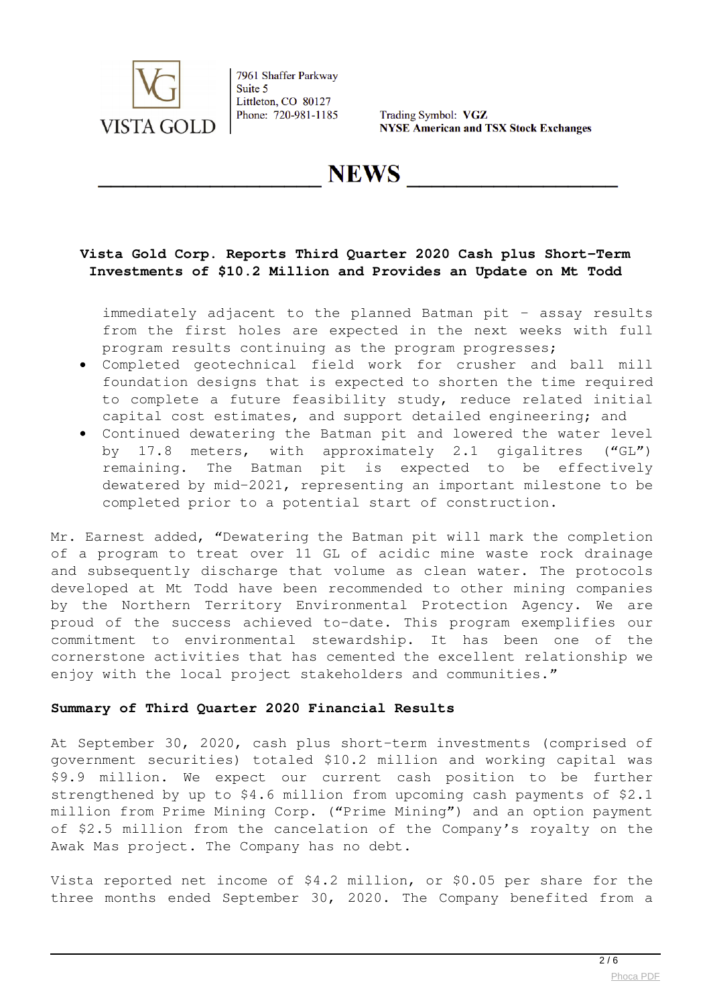

Trading Symbol: VGZ **NYSE American and TSX Stock Exchanges** 

**NEWS** 

# **Vista Gold Corp. Reports Third Quarter 2020 Cash plus Short-Term Investments of \$10.2 Million and Provides an Update on Mt Todd**

immediately adjacent to the planned Batman pit – assay results from the first holes are expected in the next weeks with full program results continuing as the program progresses;

- Completed geotechnical field work for crusher and ball mill foundation designs that is expected to shorten the time required to complete a future feasibility study, reduce related initial capital cost estimates, and support detailed engineering; and
- Continued dewatering the Batman pit and lowered the water level by 17.8 meters, with approximately 2.1 gigalitres ("GL") remaining. The Batman pit is expected to be effectively dewatered by mid-2021, representing an important milestone to be completed prior to a potential start of construction.

Mr. Earnest added, "Dewatering the Batman pit will mark the completion of a program to treat over 11 GL of acidic mine waste rock drainage and subsequently discharge that volume as clean water. The protocols developed at Mt Todd have been recommended to other mining companies by the Northern Territory Environmental Protection Agency. We are proud of the success achieved to-date. This program exemplifies our commitment to environmental stewardship. It has been one of the cornerstone activities that has cemented the excellent relationship we enjoy with the local project stakeholders and communities."

### **Summary of Third Quarter 2020 Financial Results**

At September 30, 2020, cash plus short-term investments (comprised of government securities) totaled \$10.2 million and working capital was \$9.9 million. We expect our current cash position to be further strengthened by up to \$4.6 million from upcoming cash payments of \$2.1 million from Prime Mining Corp. ("Prime Mining") and an option payment of \$2.5 million from the cancelation of the Company's royalty on the Awak Mas project. The Company has no debt.

Vista reported net income of \$4.2 million, or \$0.05 per share for the three months ended September 30, 2020. The Company benefited from a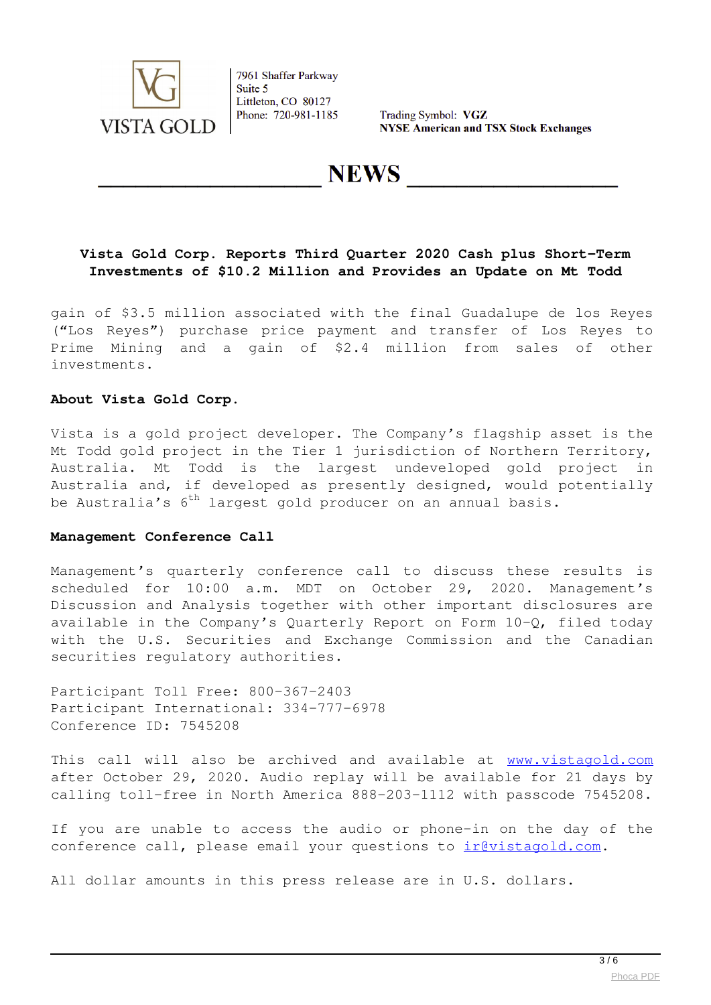

Trading Symbol: VGZ **NYSE American and TSX Stock Exchanges** 

**NEWS** 

# **Vista Gold Corp. Reports Third Quarter 2020 Cash plus Short-Term Investments of \$10.2 Million and Provides an Update on Mt Todd**

gain of \$3.5 million associated with the final Guadalupe de los Reyes ("Los Reyes") purchase price payment and transfer of Los Reyes to Prime Mining and a gain of \$2.4 million from sales of other investments.

#### **About Vista Gold Corp.**

Vista is a gold project developer. The Company's flagship asset is the Mt Todd gold project in the Tier 1 jurisdiction of Northern Territory, Australia. Mt Todd is the largest undeveloped gold project in Australia and, if developed as presently designed, would potentially be Australia's  $6^{th}$  largest gold producer on an annual basis.

#### **Management Conference Call**

Management's quarterly conference call to discuss these results is scheduled for 10:00 a.m. MDT on October 29, 2020. Management's Discussion and Analysis together with other important disclosures are available in the Company's Quarterly Report on Form 10-Q, filed today with the U.S. Securities and Exchange Commission and the Canadian securities regulatory authorities.

Participant Toll Free: 800-367-2403 Participant International: 334-777-6978 Conference ID: 7545208

This call will also be archived and available at [www.vistagold.com](https://www.globenewswire.com/Tracker?data=mR3tUJUb99Cgw8cQX4vfQ_Wn3ffv8JhmPgsly9bvchxgnqaRnMHJrQL_u5EXl4wGYLxO1BV8q6lJB_ONEyHyWg==) after October 29, 2020. Audio replay will be available for 21 days by calling toll-free in North America 888-203-1112 with passcode 7545208.

If you are unable to access the audio or phone-in on the day of the conference call, please email your questions to [ir@vistagold.com](https://www.globenewswire.com/Tracker?data=KeYSJ2mAVx0UovCAOKvEa7vSebhFgOZhket1gcBBumjdIaHPgY1zQ4rtLHTbVzR1y90tpCEFaR34smzS2mOVMA==).

All dollar amounts in this press release are in U.S. dollars.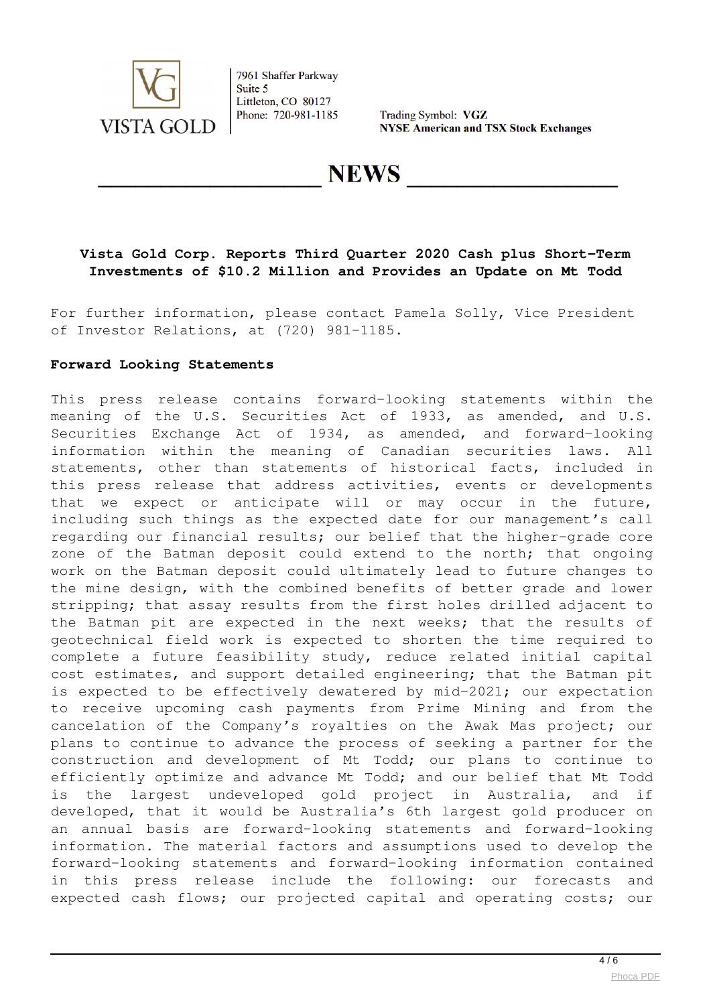

Trading Symbol: VGZ **NYSE American and TSX Stock Exchanges** 

**NEWS** 

# **Vista Gold Corp. Reports Third Quarter 2020 Cash plus Short-Term Investments of \$10.2 Million and Provides an Update on Mt Todd**

For further information, please contact Pamela Solly, Vice President of Investor Relations, at (720) 981-1185.

#### **Forward Looking Statements**

This press release contains forward-looking statements within the meaning of the U.S. Securities Act of 1933, as amended, and U.S. Securities Exchange Act of 1934, as amended, and forward-looking information within the meaning of Canadian securities laws. All statements, other than statements of historical facts, included in this press release that address activities, events or developments that we expect or anticipate will or may occur in the future, including such things as the expected date for our management's call regarding our financial results; our belief that the higher-grade core zone of the Batman deposit could extend to the north; that ongoing work on the Batman deposit could ultimately lead to future changes to the mine design, with the combined benefits of better grade and lower stripping; that assay results from the first holes drilled adjacent to the Batman pit are expected in the next weeks; that the results of geotechnical field work is expected to shorten the time required to complete a future feasibility study, reduce related initial capital cost estimates, and support detailed engineering; that the Batman pit is expected to be effectively dewatered by mid-2021; our expectation to receive upcoming cash payments from Prime Mining and from the cancelation of the Company's royalties on the Awak Mas project; our plans to continue to advance the process of seeking a partner for the construction and development of Mt Todd; our plans to continue to efficiently optimize and advance Mt Todd; and our belief that Mt Todd is the largest undeveloped gold project in Australia, and if developed, that it would be Australia's 6th largest gold producer on an annual basis are forward-looking statements and forward-looking information. The material factors and assumptions used to develop the forward-looking statements and forward-looking information contained in this press release include the following: our forecasts and expected cash flows; our projected capital and operating costs; our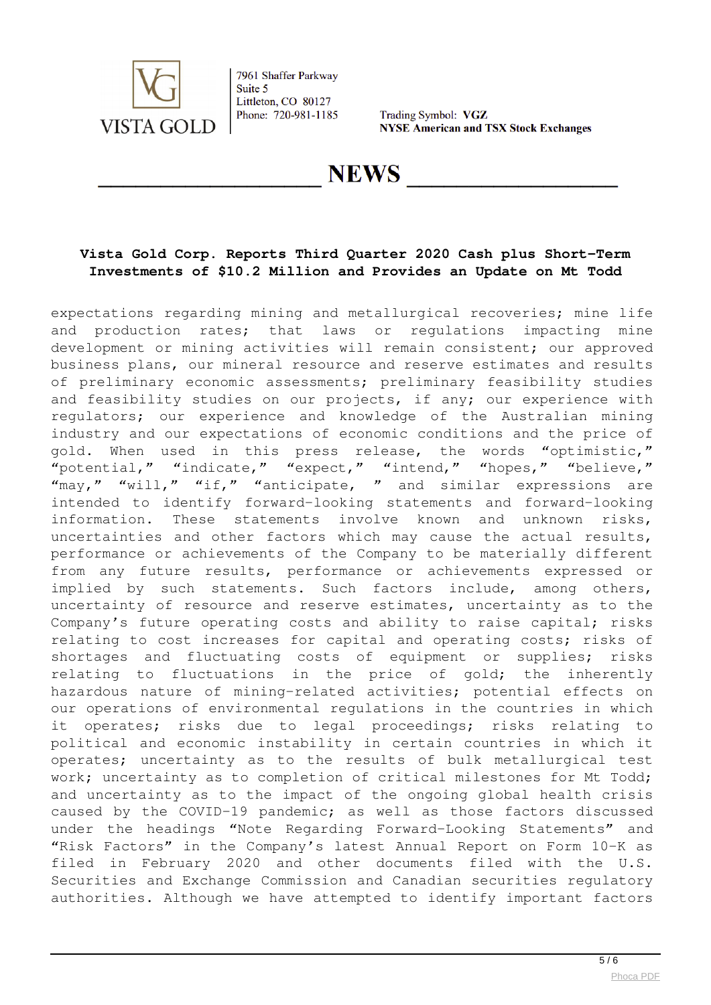

Trading Symbol: VGZ **NYSE American and TSX Stock Exchanges** 

**NEWS** 

# **Vista Gold Corp. Reports Third Quarter 2020 Cash plus Short-Term Investments of \$10.2 Million and Provides an Update on Mt Todd**

expectations regarding mining and metallurgical recoveries; mine life and production rates; that laws or regulations impacting mine development or mining activities will remain consistent; our approved business plans, our mineral resource and reserve estimates and results of preliminary economic assessments; preliminary feasibility studies and feasibility studies on our projects, if any; our experience with regulators; our experience and knowledge of the Australian mining industry and our expectations of economic conditions and the price of gold. When used in this press release, the words "optimistic," "potential," "indicate," "expect," "intend," "hopes," "believe," "may," "will," "if," "anticipate, " and similar expressions are intended to identify forward-looking statements and forward-looking information. These statements involve known and unknown risks, uncertainties and other factors which may cause the actual results, performance or achievements of the Company to be materially different from any future results, performance or achievements expressed or implied by such statements. Such factors include, among others, uncertainty of resource and reserve estimates, uncertainty as to the Company's future operating costs and ability to raise capital; risks relating to cost increases for capital and operating costs; risks of shortages and fluctuating costs of equipment or supplies; risks relating to fluctuations in the price of gold; the inherently hazardous nature of mining-related activities; potential effects on our operations of environmental regulations in the countries in which it operates; risks due to legal proceedings; risks relating to political and economic instability in certain countries in which it operates; uncertainty as to the results of bulk metallurgical test work; uncertainty as to completion of critical milestones for Mt Todd; and uncertainty as to the impact of the ongoing global health crisis caused by the COVID-19 pandemic; as well as those factors discussed under the headings "Note Regarding Forward-Looking Statements" and "Risk Factors" in the Company's latest Annual Report on Form 10-K as filed in February 2020 and other documents filed with the U.S. Securities and Exchange Commission and Canadian securities regulatory authorities. Although we have attempted to identify important factors

 $\frac{1}{5/6}$